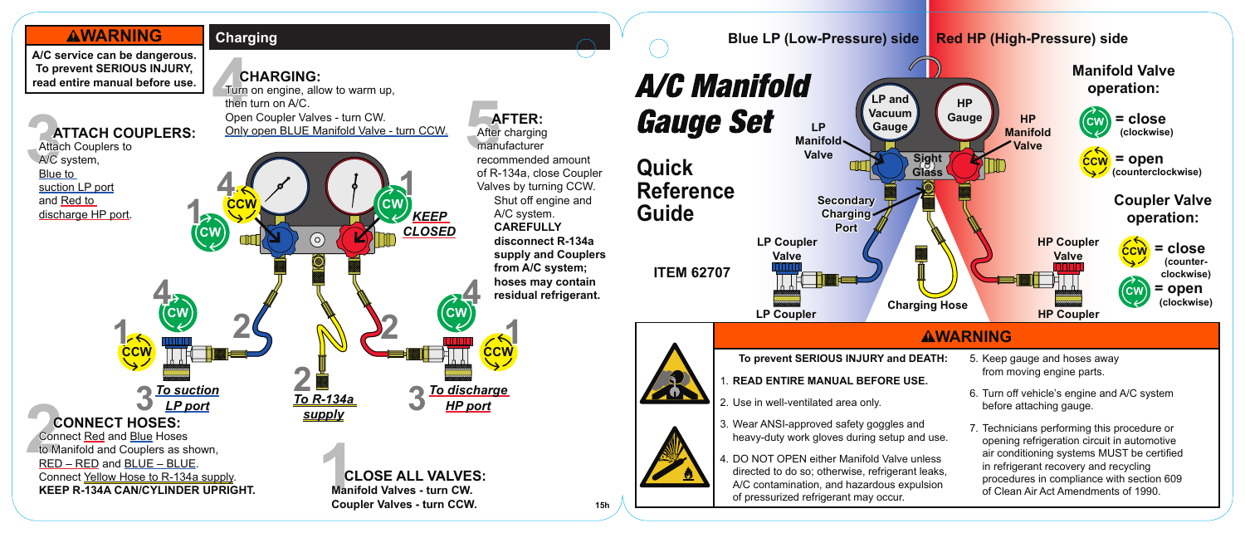



**Manifold Valve operation:**

## **AWARNING**

5. Keep gauge and hoses away from moving engine parts.

**HP Manifold Valve**

- 6. Turn off vehicle's engine and A/C system before attaching gauge.
- 7. Technicians performing this procedure or opening refrigeration circuit in automotive air conditioning systems MUST be certified in refrigerant recovery and recycling procedures in compliance with section 609 of Clean Air Act Amendments of 1990.